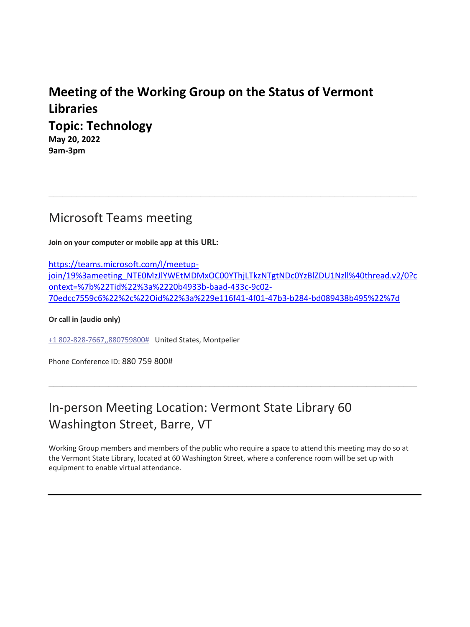# **Meeting of the Working Group on the Status of Vermont Libraries Topic: Technology**

**May 20, 2022 9am-3pm** 

### Microsoft Teams meeting

**Join on your computer or mobile app at this URL:**

https://teams.microsoft.com/l/meetupjoin/19%3ameeting\_NTE0MzJlYWEtMDMxOC00YThjLTkzNTgtNDc0YzBlZDU1Nzll%40thread.v2/0?c ontext=%7b%22Tid%22%3a%2220b4933b-baad-433c-9c02- 70edcc7559c6%22%2c%22Oid%22%3a%229e116f41-4f01-47b3-b284-bd089438b495%22%7d

\_\_\_\_\_\_\_\_\_\_\_\_\_\_\_\_\_\_\_\_\_\_\_\_\_\_\_\_\_\_\_\_\_\_\_\_\_\_\_\_\_\_\_\_\_\_\_\_\_\_\_\_\_\_\_\_\_\_\_\_\_\_\_\_\_\_\_\_\_\_\_\_\_\_\_\_\_\_\_\_

**Or call in (audio only)**

+1 802-828-7667,,880759800# United States, Montpelier

Phone Conference ID: 880 759 800#

# In-person Meeting Location: Vermont State Library 60 Washington Street, Barre, VT

Working Group members and members of the public who require a space to attend this meeting may do so at the Vermont State Library, located at 60 Washington Street, where a conference room will be set up with equipment to enable virtual attendance.

\_\_\_\_\_\_\_\_\_\_\_\_\_\_\_\_\_\_\_\_\_\_\_\_\_\_\_\_\_\_\_\_\_\_\_\_\_\_\_\_\_\_\_\_\_\_\_\_\_\_\_\_\_\_\_\_\_\_\_\_\_\_\_\_\_\_\_\_\_\_\_\_\_\_\_\_\_\_\_\_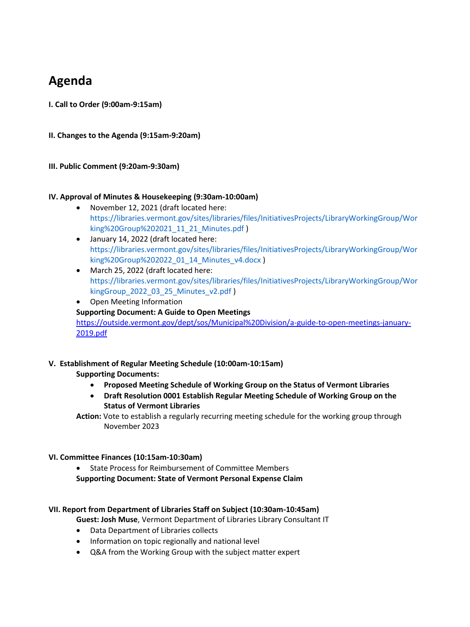### **Agenda**

**I. Call to Order (9:00am-9:15am)** 

**II. Changes to the Agenda (9:15am-9:20am)** 

#### **III. Public Comment (9:20am-9:30am)**

#### **IV. Approval of Minutes & Housekeeping (9:30am-10:00am)**

- November 12, 2021 (draft located here: https://libraries.vermont.gov/sites/libraries/files/InitiativesProjects/LibraryWorkingGroup/Wor king%20Group%202021\_11\_21\_Minutes.pdf )
- January 14, 2022 (draft located here: https://libraries.vermont.gov/sites/libraries/files/InitiativesProjects/LibraryWorkingGroup/Wor king%20Group%202022\_01\_14\_Minutes\_v4.docx )
- March 25, 2022 (draft located here: https://libraries.vermont.gov/sites/libraries/files/InitiativesProjects/LibraryWorkingGroup/Wor kingGroup\_2022\_03\_25\_Minutes\_v2.pdf )
- Open Meeting Information **Supporting Document: A Guide to Open Meetings** https://outside.vermont.gov/dept/sos/Municipal%20Division/a-guide-to-open-meetings-january-2019.pdf

### **V. Establishment of Regular Meeting Schedule (10:00am-10:15am)**

**Supporting Documents:** 

- **Proposed Meeting Schedule of Working Group on the Status of Vermont Libraries**
- **Draft Resolution 0001 Establish Regular Meeting Schedule of Working Group on the Status of Vermont Libraries**

**Action:** Vote to establish a regularly recurring meeting schedule for the working group through November 2023

#### **VI. Committee Finances (10:15am-10:30am)**

• State Process for Reimbursement of Committee Members **Supporting Document: State of Vermont Personal Expense Claim**

#### **VII. Report from Department of Libraries Staff on Subject (10:30am-10:45am)**

- **Guest: Josh Muse**, Vermont Department of Libraries Library Consultant IT
- Data Department of Libraries collects
- Information on topic regionally and national level
- Q&A from the Working Group with the subject matter expert